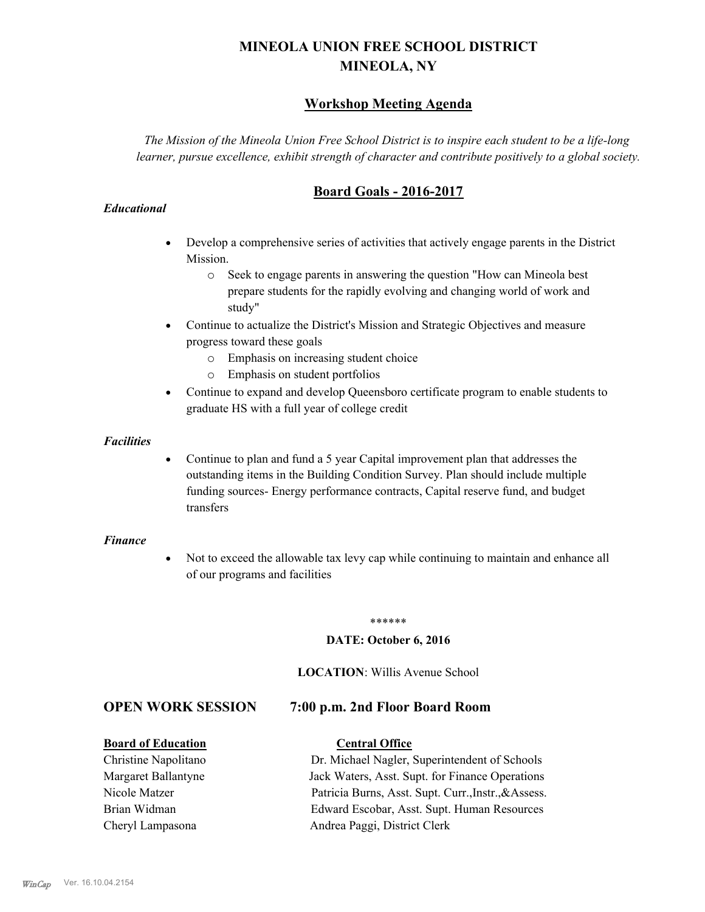# **MINEOLA UNION FREE SCHOOL DISTRICT MINEOLA, NY**

# **Workshop Meeting Agenda**

*The Mission of the Mineola Union Free School District is to inspire each student to be a life-long learner, pursue excellence, exhibit strength of character and contribute positively to a global society.*

# **Board Goals - 2016-2017**

#### *Educational*

- · Develop a comprehensive series of activities that actively engage parents in the District Mission.
	- o Seek to engage parents in answering the question "How can Mineola best prepare students for the rapidly evolving and changing world of work and study"
- · Continue to actualize the District's Mission and Strategic Objectives and measure progress toward these goals
	- o Emphasis on increasing student choice
	- o Emphasis on student portfolios
- · Continue to expand and develop Queensboro certificate program to enable students to graduate HS with a full year of college credit

#### *Facilities*

· Continue to plan and fund a 5 year Capital improvement plan that addresses the outstanding items in the Building Condition Survey. Plan should include multiple funding sources- Energy performance contracts, Capital reserve fund, and budget transfers

#### *Finance*

• Not to exceed the allowable tax levy cap while continuing to maintain and enhance all of our programs and facilities

#### \*\*\*\*\*\*

#### **DATE: October 6, 2016**

#### **LOCATION**: Willis Avenue School

### **OPEN WORK SESSION 7:00 p.m. 2nd Floor Board Room**

#### **Board of Education Central Office**

Christine Napolitano Dr. Michael Nagler, Superintendent of Schools Margaret Ballantyne Jack Waters, Asst. Supt. for Finance Operations Nicole Matzer Patricia Burns, Asst. Supt. Curr.,Instr.,&Assess. Brian Widman Edward Escobar, Asst. Supt. Human Resources Cheryl Lampasona Andrea Paggi, District Clerk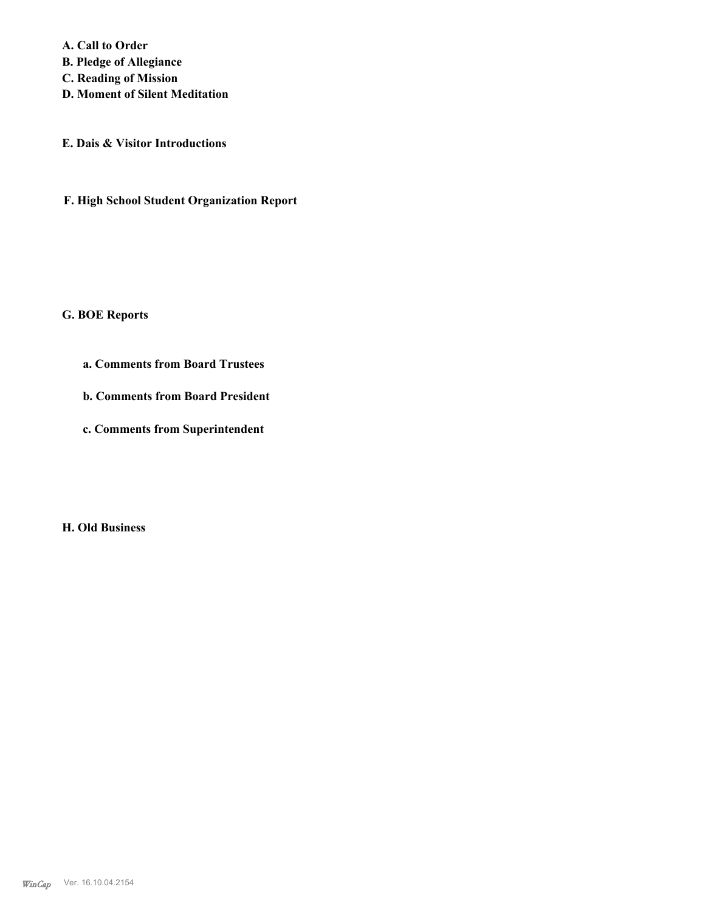**A. Call to Order** 

**B. Pledge of Allegiance**

**C. Reading of Mission**

**D. Moment of Silent Meditation**

**E. Dais & Visitor Introductions**

**F. High School Student Organization Report**

#### **G. BOE Reports**

- **a. Comments from Board Trustees**
- **b. Comments from Board President**
- **c. Comments from Superintendent**

**H. Old Business**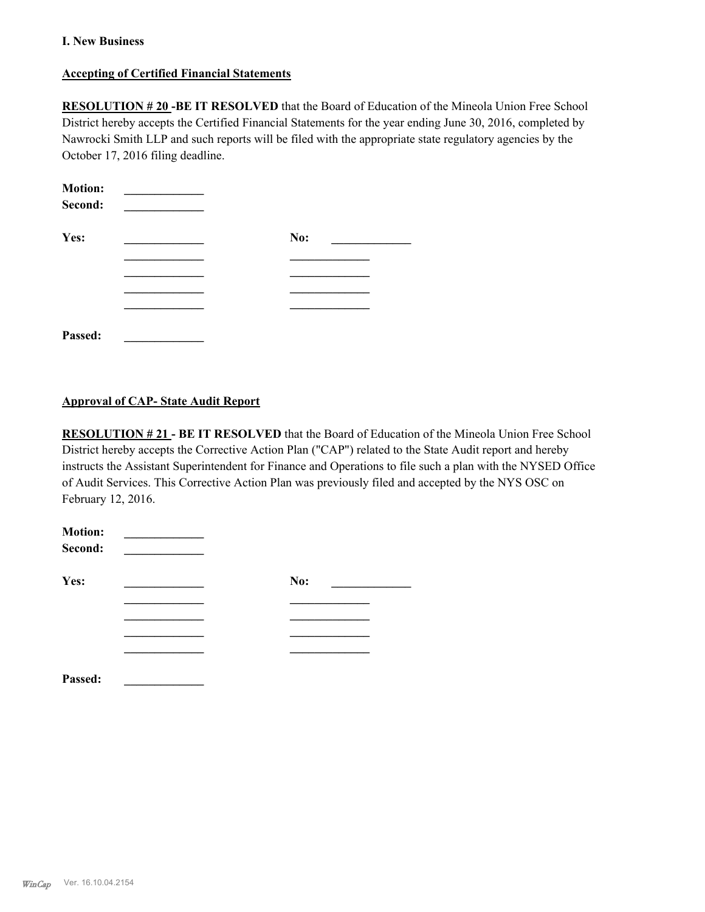#### **I. New Business**

#### **Accepting of Certified Financial Statements**

**RESOLUTION # 20 -BE IT RESOLVED** that the Board of Education of the Mineola Union Free School District hereby accepts the Certified Financial Statements for the year ending June 30, 2016, completed by Nawrocki Smith LLP and such reports will be filed with the appropriate state regulatory agencies by the October 17, 2016 filing deadline.

| <b>Motion:</b><br>Second: |     |  |
|---------------------------|-----|--|
| Yes:                      | No: |  |
|                           |     |  |
|                           |     |  |
|                           |     |  |
| Passed:                   |     |  |

### **Approval of CAP- State Audit Report**

**RESOLUTION # 21 - BE IT RESOLVED** that the Board of Education of the Mineola Union Free School District hereby accepts the Corrective Action Plan ("CAP") related to the State Audit report and hereby instructs the Assistant Superintendent for Finance and Operations to file such a plan with the NYSED Office of Audit Services. This Corrective Action Plan was previously filed and accepted by the NYS OSC on February 12, 2016.

| <b>Motion:</b><br>Second: |     |
|---------------------------|-----|
| Yes:                      | No: |
|                           |     |
|                           |     |
|                           |     |
|                           |     |
| Passed:                   |     |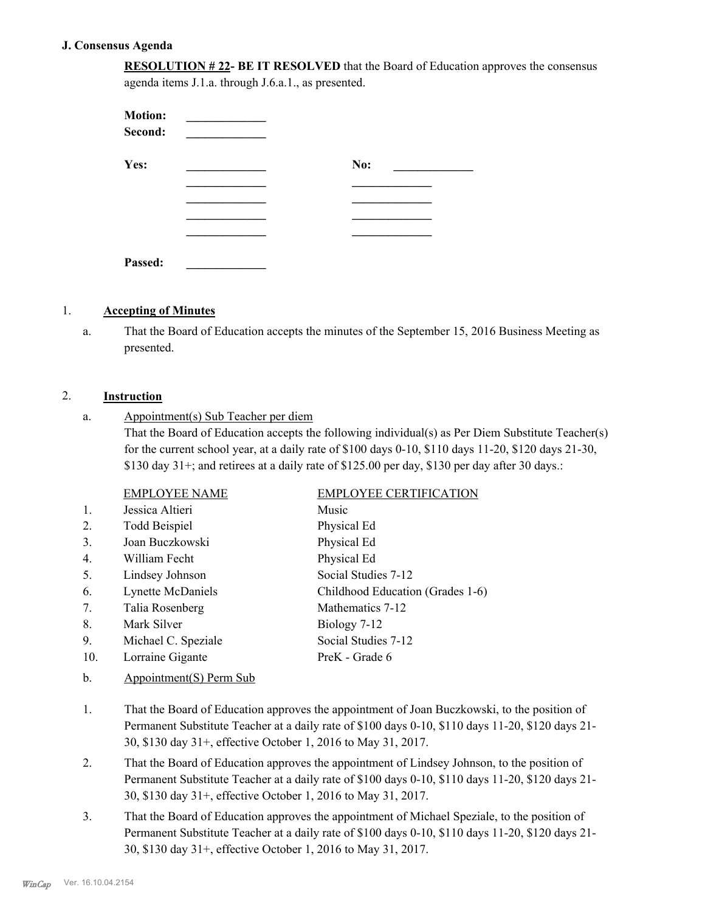#### **J. Consensus Agenda**

**RESOLUTION # 22- BE IT RESOLVED** that the Board of Education approves the consensus agenda items J.1.a. through J.6.a.1., as presented.

| <b>Motion:</b><br>Second: |     |
|---------------------------|-----|
| Yes:                      | No: |
|                           |     |
|                           |     |
|                           |     |
|                           |     |
| Passed:                   |     |

#### 1. **Accepting of Minutes**

That the Board of Education accepts the minutes of the September 15, 2016 Business Meeting as presented. a.

### 2. **Instruction**

Appointment(s) Sub Teacher per diem That the Board of Education accepts the following individual(s) as Per Diem Substitute Teacher(s) for the current school year, at a daily rate of \$100 days 0-10, \$110 days 11-20, \$120 days 21-30, \$130 day  $31+$ ; and retirees at a daily rate of \$125.00 per day, \$130 per day after 30 days.: a.

|     | <b>EMPLOYEE NAME</b> | <b>EMPLOYEE CERTIFICATION</b>    |
|-----|----------------------|----------------------------------|
| 1.  | Jessica Altieri      | Music                            |
| 2.  | <b>Todd Beispiel</b> | Physical Ed                      |
| 3.  | Joan Buczkowski      | Physical Ed                      |
| 4.  | William Fecht        | Physical Ed                      |
| 5.  | Lindsey Johnson      | Social Studies 7-12              |
| 6.  | Lynette McDaniels    | Childhood Education (Grades 1-6) |
| 7.  | Talia Rosenberg      | Mathematics 7-12                 |
| 8.  | Mark Silver          | Biology 7-12                     |
| 9.  | Michael C. Speziale  | Social Studies 7-12              |
| 10. | Lorraine Gigante     | PreK - Grade 6                   |
|     |                      |                                  |

- b. Appointment(S) Perm Sub
- That the Board of Education approves the appointment of Joan Buczkowski, to the position of Permanent Substitute Teacher at a daily rate of \$100 days 0-10, \$110 days 11-20, \$120 days 21- 30, \$130 day 31+, effective October 1, 2016 to May 31, 2017. 1.
- That the Board of Education approves the appointment of Lindsey Johnson, to the position of Permanent Substitute Teacher at a daily rate of \$100 days 0-10, \$110 days 11-20, \$120 days 21- 30, \$130 day 31+, effective October 1, 2016 to May 31, 2017. 2.
- That the Board of Education approves the appointment of Michael Speziale, to the position of Permanent Substitute Teacher at a daily rate of \$100 days 0-10, \$110 days 11-20, \$120 days 21- 30, \$130 day 31+, effective October 1, 2016 to May 31, 2017. 3.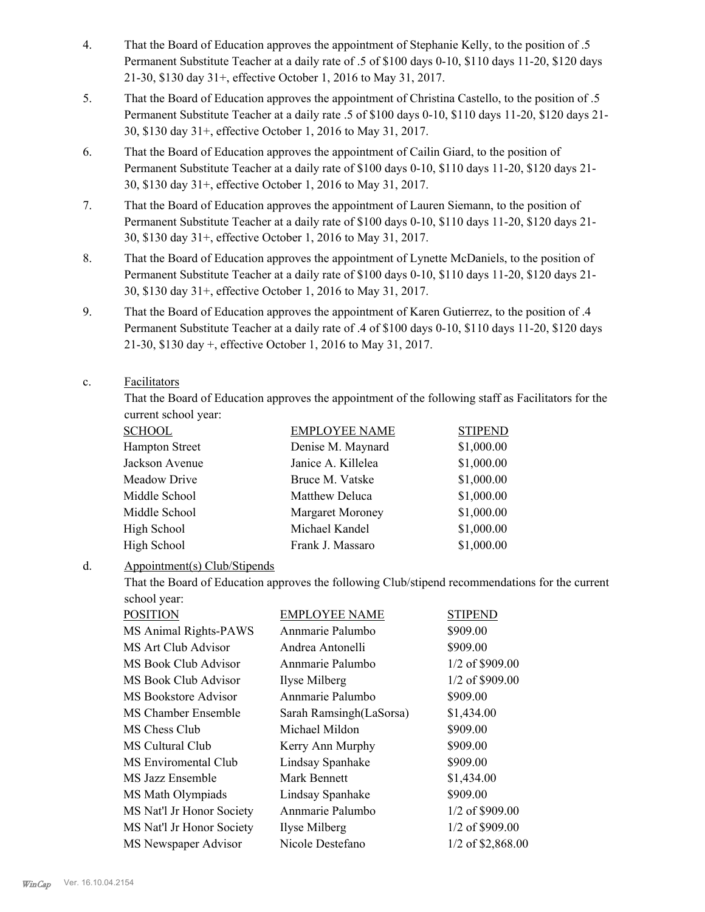- That the Board of Education approves the appointment of Stephanie Kelly, to the position of .5 Permanent Substitute Teacher at a daily rate of .5 of \$100 days 0-10, \$110 days 11-20, \$120 days 21-30, \$130 day 31+, effective October 1, 2016 to May 31, 2017. 4.
- That the Board of Education approves the appointment of Christina Castello, to the position of .5 Permanent Substitute Teacher at a daily rate .5 of \$100 days 0-10, \$110 days 11-20, \$120 days 21- 30, \$130 day 31+, effective October 1, 2016 to May 31, 2017. 5.
- That the Board of Education approves the appointment of Cailin Giard, to the position of Permanent Substitute Teacher at a daily rate of \$100 days 0-10, \$110 days 11-20, \$120 days 21- 30, \$130 day 31+, effective October 1, 2016 to May 31, 2017. 6.
- That the Board of Education approves the appointment of Lauren Siemann, to the position of Permanent Substitute Teacher at a daily rate of \$100 days 0-10, \$110 days 11-20, \$120 days 21- 30, \$130 day 31+, effective October 1, 2016 to May 31, 2017. 7.
- That the Board of Education approves the appointment of Lynette McDaniels, to the position of Permanent Substitute Teacher at a daily rate of \$100 days 0-10, \$110 days 11-20, \$120 days 21- 30, \$130 day 31+, effective October 1, 2016 to May 31, 2017. 8.
- That the Board of Education approves the appointment of Karen Gutierrez, to the position of .4 Permanent Substitute Teacher at a daily rate of .4 of \$100 days 0-10, \$110 days 11-20, \$120 days 21-30, \$130 day +, effective October 1, 2016 to May 31, 2017. 9.

#### Facilitators c.

That the Board of Education approves the appointment of the following staff as Facilitators for the current school year:

| <b>SCHOOL</b>         | <b>EMPLOYEE NAME</b>    | <b>STIPEND</b> |
|-----------------------|-------------------------|----------------|
| <b>Hampton Street</b> | Denise M. Maynard       | \$1,000.00     |
| Jackson Avenue        | Janice A. Killelea      | \$1,000.00     |
| Meadow Drive          | Bruce M. Vatske         | \$1,000.00     |
| Middle School         | Matthew Deluca          | \$1,000.00     |
| Middle School         | <b>Margaret Moroney</b> | \$1,000.00     |
| High School           | Michael Kandel          | \$1,000.00     |
| High School           | Frank J. Massaro        | \$1,000.00     |

#### Appointment(s) Club/Stipends d.

That the Board of Education approves the following Club/stipend recommendations for the current school year:

| <b>POSITION</b>           | <b>EMPLOYEE NAME</b>    | <b>STIPEND</b>      |
|---------------------------|-------------------------|---------------------|
| MS Animal Rights-PAWS     | Annmarie Palumbo        | \$909.00            |
| MS Art Club Advisor       | Andrea Antonelli        | \$909.00            |
| MS Book Club Advisor      | Annmarie Palumbo        | 1/2 of \$909.00     |
| MS Book Club Advisor      | Ilyse Milberg           | 1/2 of \$909.00     |
| MS Bookstore Advisor      | Annmarie Palumbo        | \$909.00            |
| MS Chamber Ensemble       | Sarah Ramsingh(LaSorsa) | \$1,434.00          |
| MS Chess Club             | Michael Mildon          | \$909.00            |
| MS Cultural Club          | Kerry Ann Murphy        | \$909.00            |
| MS Enviromental Club      | Lindsay Spanhake        | \$909.00            |
| MS Jazz Ensemble          | Mark Bennett            | \$1,434.00          |
| MS Math Olympiads         | Lindsay Spanhake        | \$909.00            |
| MS Nat'l Jr Honor Society | Annmarie Palumbo        | 1/2 of \$909.00     |
| MS Nat'l Jr Honor Society | Ilyse Milberg           | 1/2 of \$909.00     |
| MS Newspaper Advisor      | Nicole Destefano        | $1/2$ of \$2,868.00 |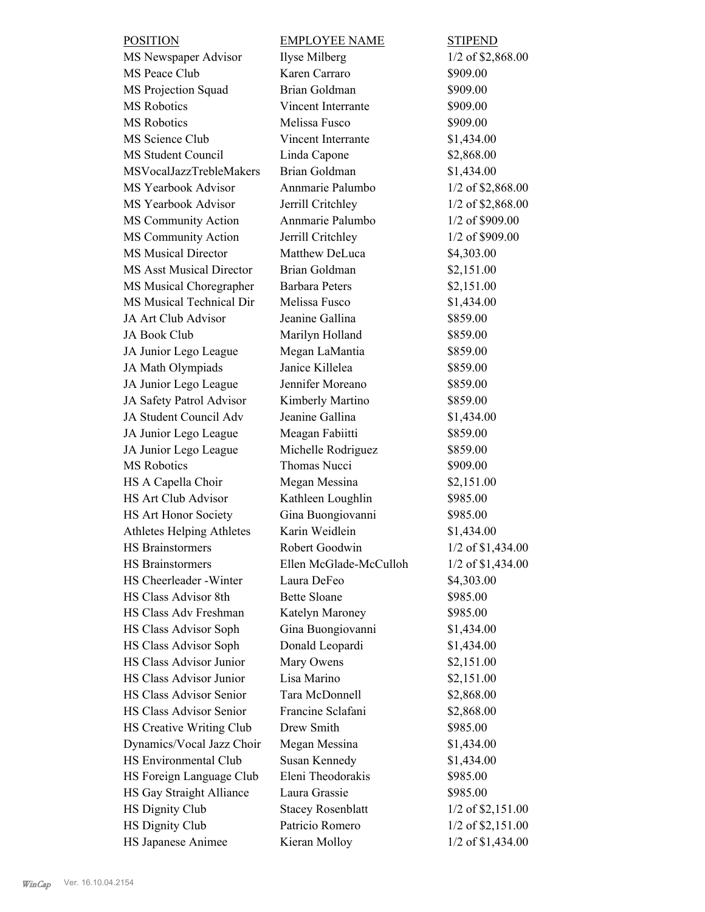| <b>POSITION</b>                 | <b>EMPLOYEE NAME</b>     | <b>STIPEND</b>      |
|---------------------------------|--------------------------|---------------------|
| MS Newspaper Advisor            | Ilyse Milberg            | 1/2 of \$2,868.00   |
| MS Peace Club                   | Karen Carraro            | \$909.00            |
| MS Projection Squad             | Brian Goldman            | \$909.00            |
| <b>MS</b> Robotics              | Vincent Interrante       | \$909.00            |
| <b>MS</b> Robotics              | Melissa Fusco            | \$909.00            |
| MS Science Club                 | Vincent Interrante       | \$1,434.00          |
| <b>MS Student Council</b>       | Linda Capone             | \$2,868.00          |
| MSVocalJazzTrebleMakers         | Brian Goldman            | \$1,434.00          |
| MS Yearbook Advisor             | Annmarie Palumbo         | 1/2 of \$2,868.00   |
| MS Yearbook Advisor             | Jerrill Critchley        | $1/2$ of \$2,868.00 |
| MS Community Action             | Annmarie Palumbo         | 1/2 of \$909.00     |
| MS Community Action             | Jerrill Critchley        | 1/2 of \$909.00     |
| <b>MS Musical Director</b>      | Matthew DeLuca           | \$4,303.00          |
| <b>MS Asst Musical Director</b> | Brian Goldman            | \$2,151.00          |
| MS Musical Choregrapher         | <b>Barbara Peters</b>    | \$2,151.00          |
| MS Musical Technical Dir        | Melissa Fusco            | \$1,434.00          |
| JA Art Club Advisor             | Jeanine Gallina          | \$859.00            |
| JA Book Club                    | Marilyn Holland          | \$859.00            |
| JA Junior Lego League           | Megan LaMantia           | \$859.00            |
| JA Math Olympiads               | Janice Killelea          | \$859.00            |
| JA Junior Lego League           | Jennifer Moreano         | \$859.00            |
| JA Safety Patrol Advisor        | Kimberly Martino         | \$859.00            |
| JA Student Council Adv          | Jeanine Gallina          | \$1,434.00          |
| JA Junior Lego League           | Meagan Fabiitti          | \$859.00            |
| JA Junior Lego League           | Michelle Rodriguez       | \$859.00            |
| <b>MS</b> Robotics              | Thomas Nucci             | \$909.00            |
| HS A Capella Choir              | Megan Messina            | \$2,151.00          |
| <b>HS Art Club Advisor</b>      | Kathleen Loughlin        | \$985.00            |
| HS Art Honor Society            | Gina Buongiovanni        | \$985.00            |
| Athletes Helping Athletes       | Karin Weidlein           | \$1,434.00          |
| <b>HS Brainstormers</b>         | Robert Goodwin           | 1/2 of \$1,434.00   |
| <b>HS Brainstormers</b>         | Ellen McGlade-McCulloh   | 1/2 of \$1,434.00   |
| HS Cheerleader - Winter         | Laura DeFeo              | \$4,303.00          |
| HS Class Advisor 8th            | <b>Bette Sloane</b>      | \$985.00            |
| HS Class Adv Freshman           | Katelyn Maroney          | \$985.00            |
| HS Class Advisor Soph           | Gina Buongiovanni        | \$1,434.00          |
| HS Class Advisor Soph           | Donald Leopardi          | \$1,434.00          |
| HS Class Advisor Junior         | Mary Owens               | \$2,151.00          |
| HS Class Advisor Junior         | Lisa Marino              | \$2,151.00          |
| HS Class Advisor Senior         | Tara McDonnell           | \$2,868.00          |
| HS Class Advisor Senior         | Francine Sclafani        | \$2,868.00          |
| HS Creative Writing Club        | Drew Smith               | \$985.00            |
| Dynamics/Vocal Jazz Choir       | Megan Messina            | \$1,434.00          |
| HS Environmental Club           | Susan Kennedy            | \$1,434.00          |
| HS Foreign Language Club        | Eleni Theodorakis        | \$985.00            |
| HS Gay Straight Alliance        | Laura Grassie            | \$985.00            |
| <b>HS Dignity Club</b>          | <b>Stacey Rosenblatt</b> | 1/2 of \$2,151.00   |
| <b>HS Dignity Club</b>          | Patricio Romero          | $1/2$ of \$2,151.00 |
| HS Japanese Animee              | Kieran Molloy            | 1/2 of \$1,434.00   |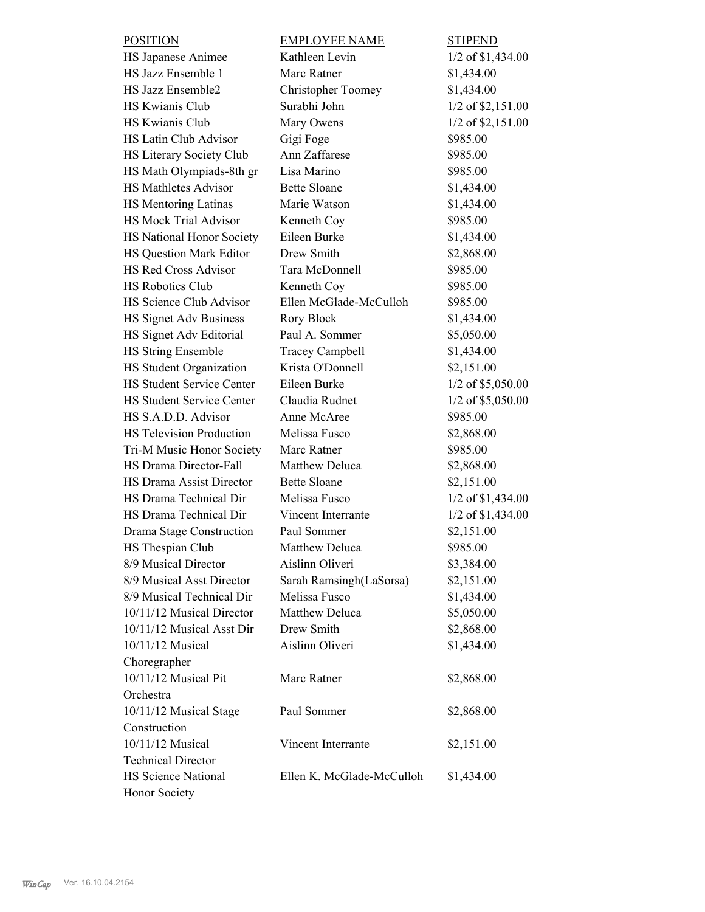| <b>POSITION</b>                  | <b>EMPLOYEE NAME</b>      | <b>STIPEND</b>      |
|----------------------------------|---------------------------|---------------------|
| HS Japanese Animee               | Kathleen Levin            | 1/2 of \$1,434.00   |
| HS Jazz Ensemble 1               | Marc Ratner               | \$1,434.00          |
| HS Jazz Ensemble2                | <b>Christopher Toomey</b> | \$1,434.00          |
| HS Kwianis Club                  | Surabhi John              | 1/2 of \$2,151.00   |
| HS Kwianis Club                  | Mary Owens                | $1/2$ of \$2,151.00 |
| HS Latin Club Advisor            | Gigi Foge                 | \$985.00            |
| HS Literary Society Club         | Ann Zaffarese             | \$985.00            |
| HS Math Olympiads-8th gr         | Lisa Marino               | \$985.00            |
| <b>HS Mathletes Advisor</b>      | <b>Bette Sloane</b>       | \$1,434.00          |
| HS Mentoring Latinas             | Marie Watson              | \$1,434.00          |
| HS Mock Trial Advisor            | Kenneth Coy               | \$985.00            |
| HS National Honor Society        | Eileen Burke              | \$1,434.00          |
| HS Question Mark Editor          | Drew Smith                | \$2,868.00          |
| HS Red Cross Advisor             | Tara McDonnell            | \$985.00            |
| <b>HS Robotics Club</b>          | Kenneth Coy               | \$985.00            |
| HS Science Club Advisor          | Ellen McGlade-McCulloh    | \$985.00            |
| HS Signet Adv Business           | Rory Block                | \$1,434.00          |
| HS Signet Adv Editorial          | Paul A. Sommer            | \$5,050.00          |
| <b>HS String Ensemble</b>        | <b>Tracey Campbell</b>    | \$1,434.00          |
| HS Student Organization          | Krista O'Donnell          | \$2,151.00          |
| <b>HS Student Service Center</b> | Eileen Burke              | $1/2$ of \$5,050.00 |
| <b>HS Student Service Center</b> | Claudia Rudnet            | 1/2 of \$5,050.00   |
| HS S.A.D.D. Advisor              | Anne McAree               | \$985.00            |
| <b>HS Television Production</b>  | Melissa Fusco             | \$2,868.00          |
| Tri-M Music Honor Society        | Marc Ratner               | \$985.00            |
| HS Drama Director-Fall           | Matthew Deluca            | \$2,868.00          |
| <b>HS Drama Assist Director</b>  | <b>Bette Sloane</b>       | \$2,151.00          |
| HS Drama Technical Dir           | Melissa Fusco             | 1/2 of \$1,434.00   |
| HS Drama Technical Dir           | Vincent Interrante        | 1/2 of \$1,434.00   |
| Drama Stage Construction         | Paul Sommer               | \$2,151.00          |
| HS Thespian Club                 | <b>Matthew Deluca</b>     | \$985.00            |
| 8/9 Musical Director             | Aislinn Oliveri           | \$3,384.00          |
| 8/9 Musical Asst Director        | Sarah Ramsingh(LaSorsa)   | \$2,151.00          |
| 8/9 Musical Technical Dir        | Melissa Fusco             | \$1,434.00          |
| 10/11/12 Musical Director        | Matthew Deluca            | \$5,050.00          |
| 10/11/12 Musical Asst Dir        | Drew Smith                | \$2,868.00          |
| 10/11/12 Musical                 | Aislinn Oliveri           | \$1,434.00          |
| Choregrapher                     |                           |                     |
| 10/11/12 Musical Pit             | Marc Ratner               | \$2,868.00          |
| Orchestra                        |                           |                     |
| 10/11/12 Musical Stage           | Paul Sommer               | \$2,868.00          |
| Construction                     |                           |                     |
| 10/11/12 Musical                 | Vincent Interrante        | \$2,151.00          |
| <b>Technical Director</b>        |                           |                     |
| HS Science National              | Ellen K. McGlade-McCulloh | \$1,434.00          |
| Honor Society                    |                           |                     |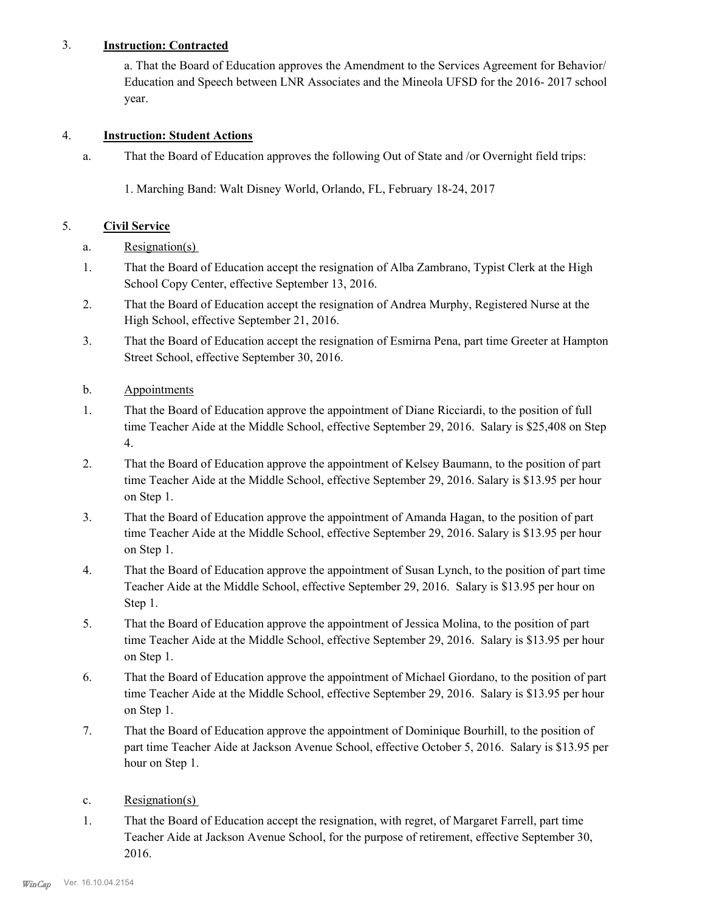# 3. **Instruction: Contracted**

a. That the Board of Education approves the Amendment to the Services Agreement for Behavior/ Education and Speech between LNR Associates and the Mineola UFSD for the 2016- 2017 school year.

## 4. **Instruction: Student Actions**

That the Board of Education approves the following Out of State and /or Overnight field trips: a.

1. Marching Band: Walt Disney World, Orlando, FL, February 18-24, 2017

## 5. **Civil Service**

- a. Resignation(s)
- That the Board of Education accept the resignation of Alba Zambrano, Typist Clerk at the High School Copy Center, effective September 13, 2016. 1.
- That the Board of Education accept the resignation of Andrea Murphy, Registered Nurse at the High School, effective September 21, 2016. 2.
- That the Board of Education accept the resignation of Esmirna Pena, part time Greeter at Hampton Street School, effective September 30, 2016. 3.
- b. Appointments
- That the Board of Education approve the appointment of Diane Ricciardi, to the position of full time Teacher Aide at the Middle School, effective September 29, 2016. Salary is \$25,408 on Step 4. 1.
- That the Board of Education approve the appointment of Kelsey Baumann, to the position of part time Teacher Aide at the Middle School, effective September 29, 2016. Salary is \$13.95 per hour on Step 1. 2.
- That the Board of Education approve the appointment of Amanda Hagan, to the position of part time Teacher Aide at the Middle School, effective September 29, 2016. Salary is \$13.95 per hour on Step 1. 3.
- That the Board of Education approve the appointment of Susan Lynch, to the position of part time Teacher Aide at the Middle School, effective September 29, 2016. Salary is \$13.95 per hour on Step 1. 4.
- That the Board of Education approve the appointment of Jessica Molina, to the position of part time Teacher Aide at the Middle School, effective September 29, 2016. Salary is \$13.95 per hour on Step 1. 5.
- That the Board of Education approve the appointment of Michael Giordano, to the position of part time Teacher Aide at the Middle School, effective September 29, 2016. Salary is \$13.95 per hour on Step 1. 6.
- That the Board of Education approve the appointment of Dominique Bourhill, to the position of part time Teacher Aide at Jackson Avenue School, effective October 5, 2016. Salary is \$13.95 per hour on Step 1. 7.
- c. Resignation(s)
- That the Board of Education accept the resignation, with regret, of Margaret Farrell, part time Teacher Aide at Jackson Avenue School, for the purpose of retirement, effective September 30, 2016. 1.